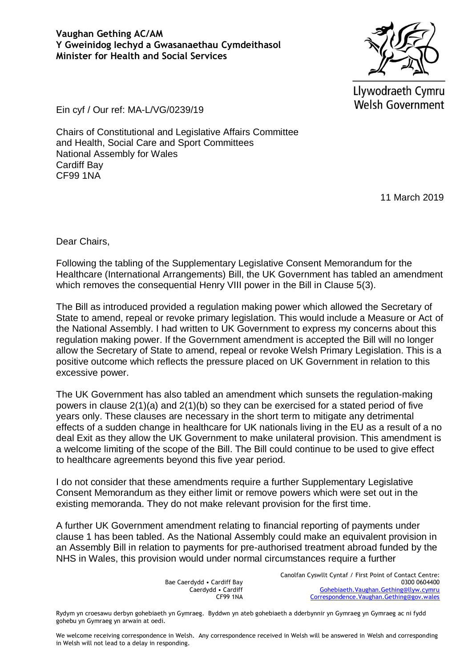Llywodraeth Cymru **Welsh Government** 

Ein cyf / Our ref: MA-L/VG/0239/19

Chairs of Constitutional and Legislative Affairs Committee and Health, Social Care and Sport Committees National Assembly for Wales Cardiff Bay CF99 1NA

11 March 2019

Dear Chairs,

Following the tabling of the Supplementary Legislative Consent Memorandum for the Healthcare (International Arrangements) Bill, the UK Government has tabled an amendment which removes the consequential Henry VIII power in the Bill in Clause 5(3).

The Bill as introduced provided a regulation making power which allowed the Secretary of State to amend, repeal or revoke primary legislation. This would include a Measure or Act of the National Assembly. I had written to UK Government to express my concerns about this regulation making power. If the Government amendment is accepted the Bill will no longer allow the Secretary of State to amend, repeal or revoke Welsh Primary Legislation. This is a positive outcome which reflects the pressure placed on UK Government in relation to this excessive power.

The UK Government has also tabled an amendment which sunsets the regulation-making powers in clause 2(1)(a) and 2(1)(b) so they can be exercised for a stated period of five years only. These clauses are necessary in the short term to mitigate any detrimental effects of a sudden change in healthcare for UK nationals living in the EU as a result of a no deal Exit as they allow the UK Government to make unilateral provision. This amendment is a welcome limiting of the scope of the Bill. The Bill could continue to be used to give effect to healthcare agreements beyond this five year period.

I do not consider that these amendments require a further Supplementary Legislative Consent Memorandum as they either limit or remove powers which were set out in the existing memoranda. They do not make relevant provision for the first time.

A further UK Government amendment relating to financial reporting of payments under clause 1 has been tabled. As the National Assembly could make an equivalent provision in an Assembly Bill in relation to payments for pre-authorised treatment abroad funded by the NHS in Wales, this provision would under normal circumstances require a further

> Bae Caerdydd • Cardiff Bay Caerdydd • Cardiff CF99 1NA

Canolfan Cyswllt Cyntaf / First Point of Contact Centre: 0300 0604400 [Gohebiaeth.Vaughan.Gething@llyw.cymru](mailto:Gohebiaeth.Vaughan.Gething@llyw.cymru) [Correspondence.Vaughan.Gething@gov.wales](mailto:Correspondence.Vaughan.Gething@gov.wales)

Rydym yn croesawu derbyn gohebiaeth yn Gymraeg. Byddwn yn ateb gohebiaeth a dderbynnir yn Gymraeg yn Gymraeg ac ni fydd gohebu yn Gymraeg yn arwain at oedi.

We welcome receiving correspondence in Welsh. Any correspondence received in Welsh will be answered in Welsh and corresponding in Welsh will not lead to a delay in responding.